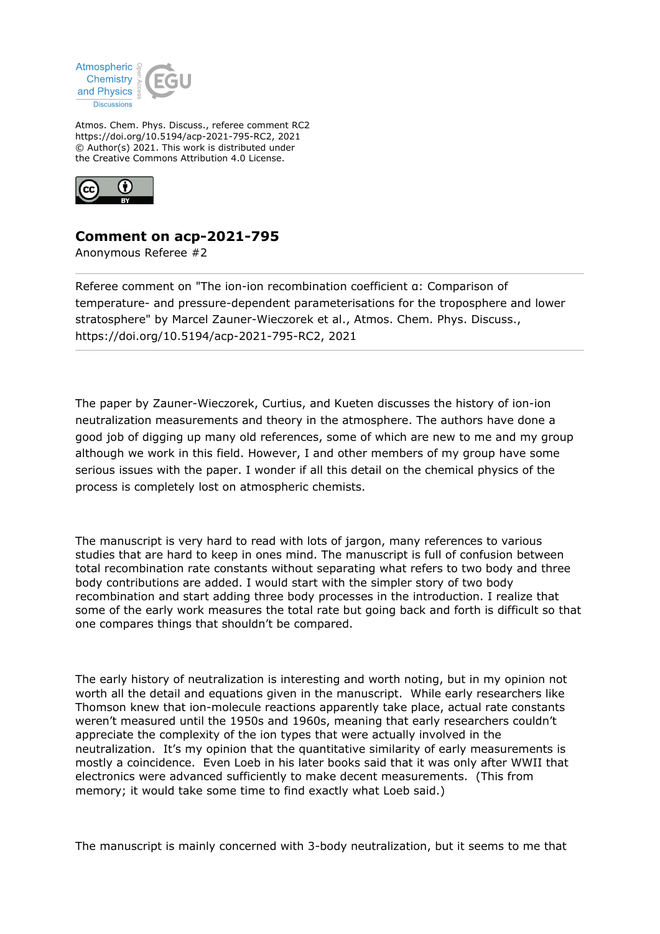

Atmos. Chem. Phys. Discuss., referee comment RC2 https://doi.org/10.5194/acp-2021-795-RC2, 2021 © Author(s) 2021. This work is distributed under the Creative Commons Attribution 4.0 License.



## **Comment on acp-2021-795**

Anonymous Referee #2

Referee comment on "The ion-ion recombination coefficient α: Comparison of temperature- and pressure-dependent parameterisations for the troposphere and lower stratosphere" by Marcel Zauner-Wieczorek et al., Atmos. Chem. Phys. Discuss., https://doi.org/10.5194/acp-2021-795-RC2, 2021

The paper by Zauner-Wieczorek, Curtius, and Kueten discusses the history of ion-ion neutralization measurements and theory in the atmosphere. The authors have done a good job of digging up many old references, some of which are new to me and my group although we work in this field. However, I and other members of my group have some serious issues with the paper. I wonder if all this detail on the chemical physics of the process is completely lost on atmospheric chemists.

The manuscript is very hard to read with lots of jargon, many references to various studies that are hard to keep in ones mind. The manuscript is full of confusion between total recombination rate constants without separating what refers to two body and three body contributions are added. I would start with the simpler story of two body recombination and start adding three body processes in the introduction. I realize that some of the early work measures the total rate but going back and forth is difficult so that one compares things that shouldn't be compared.

The early history of neutralization is interesting and worth noting, but in my opinion not worth all the detail and equations given in the manuscript. While early researchers like Thomson knew that ion-molecule reactions apparently take place, actual rate constants weren't measured until the 1950s and 1960s, meaning that early researchers couldn't appreciate the complexity of the ion types that were actually involved in the neutralization. It's my opinion that the quantitative similarity of early measurements is mostly a coincidence. Even Loeb in his later books said that it was only after WWII that electronics were advanced sufficiently to make decent measurements. (This from memory; it would take some time to find exactly what Loeb said.)

The manuscript is mainly concerned with 3-body neutralization, but it seems to me that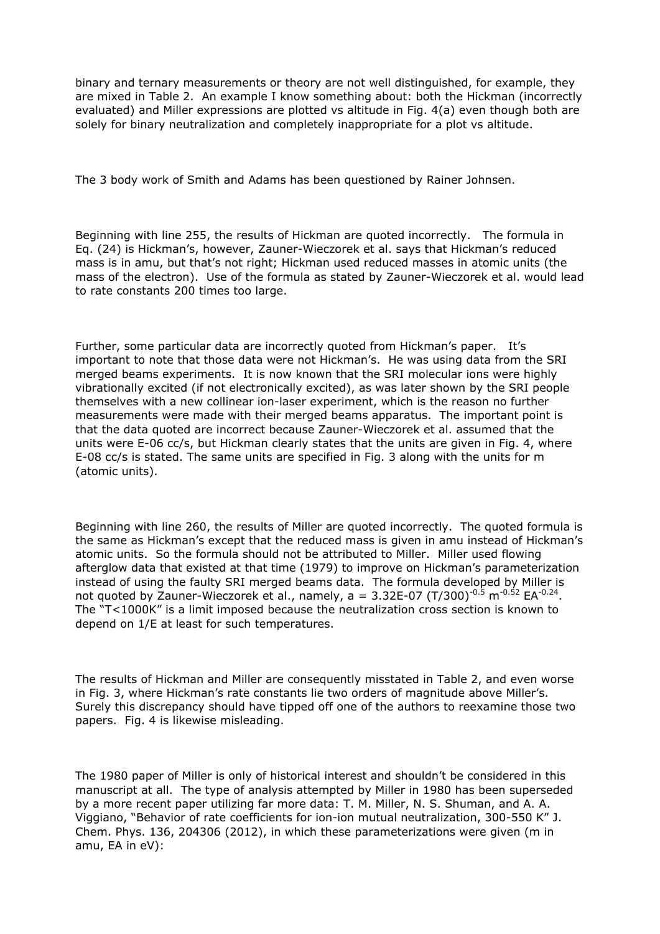binary and ternary measurements or theory are not well distinguished, for example, they are mixed in Table 2. An example I know something about: both the Hickman (incorrectly evaluated) and Miller expressions are plotted vs altitude in Fig. 4(a) even though both are solely for binary neutralization and completely inappropriate for a plot vs altitude.

The 3 body work of Smith and Adams has been questioned by Rainer Johnsen.

Beginning with line 255, the results of Hickman are quoted incorrectly. The formula in Eq. (24) is Hickman's, however, Zauner-Wieczorek et al. says that Hickman's reduced mass is in amu, but that's not right; Hickman used reduced masses in atomic units (the mass of the electron). Use of the formula as stated by Zauner-Wieczorek et al. would lead to rate constants 200 times too large.

Further, some particular data are incorrectly quoted from Hickman's paper. It's important to note that those data were not Hickman's. He was using data from the SRI merged beams experiments. It is now known that the SRI molecular ions were highly vibrationally excited (if not electronically excited), as was later shown by the SRI people themselves with a new collinear ion-laser experiment, which is the reason no further measurements were made with their merged beams apparatus. The important point is that the data quoted are incorrect because Zauner-Wieczorek et al. assumed that the units were E-06 cc/s, but Hickman clearly states that the units are given in Fig. 4, where E-08 cc/s is stated. The same units are specified in Fig. 3 along with the units for m (atomic units).

Beginning with line 260, the results of Miller are quoted incorrectly. The quoted formula is the same as Hickman's except that the reduced mass is given in amu instead of Hickman's atomic units. So the formula should not be attributed to Miller. Miller used flowing afterglow data that existed at that time (1979) to improve on Hickman's parameterization instead of using the faulty SRI merged beams data. The formula developed by Miller is not quoted by Zauner-Wieczorek et al., namely, a = 3.32E-07 (T/300)<sup>-0.5</sup> m<sup>-0.52</sup> EA<sup>-0.24</sup>. The "T<1000K" is a limit imposed because the neutralization cross section is known to depend on 1/E at least for such temperatures.

The results of Hickman and Miller are consequently misstated in Table 2, and even worse in Fig. 3, where Hickman's rate constants lie two orders of magnitude above Miller's. Surely this discrepancy should have tipped off one of the authors to reexamine those two papers. Fig. 4 is likewise misleading.

The 1980 paper of Miller is only of historical interest and shouldn't be considered in this manuscript at all. The type of analysis attempted by Miller in 1980 has been superseded by a more recent paper utilizing far more data: T. M. Miller, N. S. Shuman, and A. A. Viggiano, "Behavior of rate coefficients for ion-ion mutual neutralization, 300-550 K" J. Chem. Phys. 136, 204306 (2012), in which these parameterizations were given (m in amu, EA in eV):